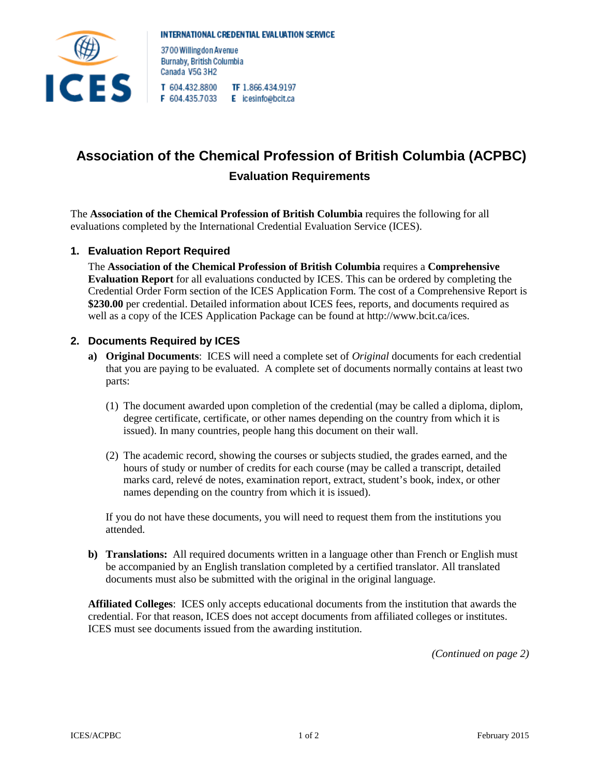

3700 Willingdon Avenue Burnaby, British Columbia Canada V5G 3H2 T 604.432.8800 TF 1.866.434.9197

F 604.435.7033 E icesinfo@bcit.ca

# **Association of the Chemical Profession of British Columbia (ACPBC) Evaluation Requirements**

The **Association of the Chemical Profession of British Columbia** requires the following for all evaluations completed by the International Credential Evaluation Service (ICES).

## **1. Evaluation Report Required**

The **Association of the Chemical Profession of British Columbia** requires a **Comprehensive Evaluation Report** for all evaluations conducted by ICES. This can be ordered by completing the Credential Order Form section of the ICES Application Form. The cost of a Comprehensive Report is **\$230.00** per credential. Detailed information about ICES fees, reports, and documents required as well as a copy of the ICES Application Package can be found at http://www.bcit.ca/ices.

#### **2. Documents Required by ICES**

- **a) Original Documents**: ICES will need a complete set of *Original* documents for each credential that you are paying to be evaluated. A complete set of documents normally contains at least two parts:
	- (1) The document awarded upon completion of the credential (may be called a diploma, diplom, degree certificate, certificate, or other names depending on the country from which it is issued). In many countries, people hang this document on their wall.
	- (2) The academic record, showing the courses or subjects studied, the grades earned, and the hours of study or number of credits for each course (may be called a transcript, detailed marks card, relevé de notes, examination report, extract, student's book, index, or other names depending on the country from which it is issued).

If you do not have these documents, you will need to request them from the institutions you attended.

**b) Translations:** All required documents written in a language other than French or English must be accompanied by an English translation completed by a certified translator. All translated documents must also be submitted with the original in the original language.

**Affiliated Colleges**: ICES only accepts educational documents from the institution that awards the credential. For that reason, ICES does not accept documents from affiliated colleges or institutes. ICES must see documents issued from the awarding institution.

*(Continued on page 2)*